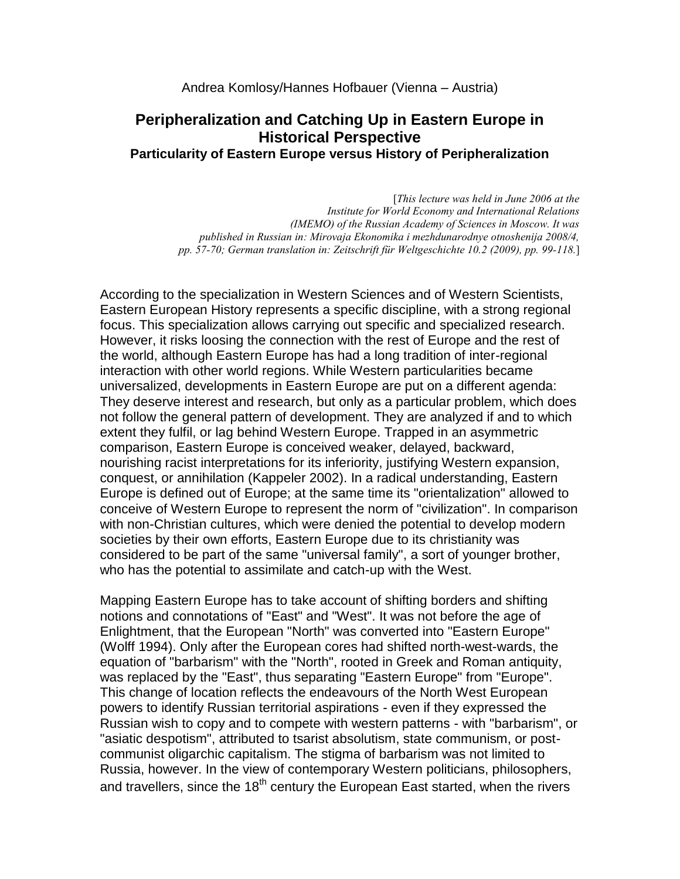# **Peripheralization and Catching Up in Eastern Europe in Historical Perspective Particularity of Eastern Europe versus History of Peripheralization**

[*This lecture was held in June 2006 at the Institute for World Economy and International Relations (IMEMO) of the Russian Academy of Sciences in Moscow. It was published in Russian in: Mirovaja Ekonomika i mezhdunarodnye otnoshenija 2008/4, pp. 57-70; German translation in: Zeitschrift für Weltgeschichte 10.2 (2009), pp. 99-118.*]

According to the specialization in Western Sciences and of Western Scientists, Eastern European History represents a specific discipline, with a strong regional focus. This specialization allows carrying out specific and specialized research. However, it risks loosing the connection with the rest of Europe and the rest of the world, although Eastern Europe has had a long tradition of inter-regional interaction with other world regions. While Western particularities became universalized, developments in Eastern Europe are put on a different agenda: They deserve interest and research, but only as a particular problem, which does not follow the general pattern of development. They are analyzed if and to which extent they fulfil, or lag behind Western Europe. Trapped in an asymmetric comparison, Eastern Europe is conceived weaker, delayed, backward, nourishing racist interpretations for its inferiority, justifying Western expansion, conquest, or annihilation (Kappeler 2002). In a radical understanding, Eastern Europe is defined out of Europe; at the same time its "orientalization" allowed to conceive of Western Europe to represent the norm of "civilization". In comparison with non-Christian cultures, which were denied the potential to develop modern societies by their own efforts, Eastern Europe due to its christianity was considered to be part of the same "universal family", a sort of younger brother, who has the potential to assimilate and catch-up with the West.

Mapping Eastern Europe has to take account of shifting borders and shifting notions and connotations of "East" and "West". It was not before the age of Enlightment, that the European "North" was converted into "Eastern Europe" (Wolff 1994). Only after the European cores had shifted north-west-wards, the equation of "barbarism" with the "North", rooted in Greek and Roman antiquity, was replaced by the "East", thus separating "Eastern Europe" from "Europe". This change of location reflects the endeavours of the North West European powers to identify Russian territorial aspirations - even if they expressed the Russian wish to copy and to compete with western patterns - with "barbarism", or "asiatic despotism", attributed to tsarist absolutism, state communism, or postcommunist oligarchic capitalism. The stigma of barbarism was not limited to Russia, however. In the view of contemporary Western politicians, philosophers, and travellers, since the  $18<sup>th</sup>$  century the European East started, when the rivers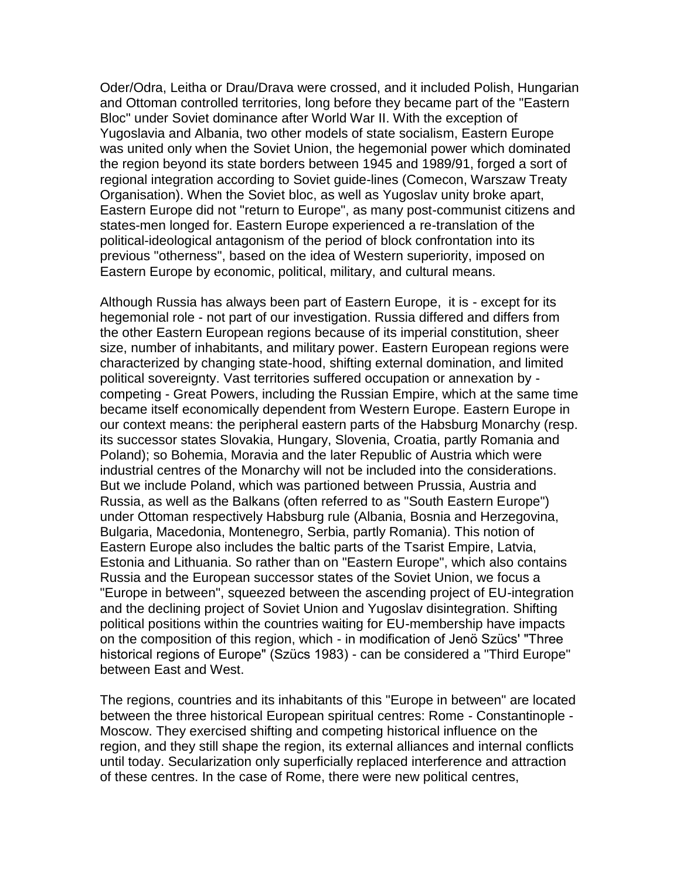Oder/Odra, Leitha or Drau/Drava were crossed, and it included Polish, Hungarian and Ottoman controlled territories, long before they became part of the "Eastern Bloc" under Soviet dominance after World War II. With the exception of Yugoslavia and Albania, two other models of state socialism, Eastern Europe was united only when the Soviet Union, the hegemonial power which dominated the region beyond its state borders between 1945 and 1989/91, forged a sort of regional integration according to Soviet guide-lines (Comecon, Warszaw Treaty Organisation). When the Soviet bloc, as well as Yugoslav unity broke apart, Eastern Europe did not "return to Europe", as many post-communist citizens and states-men longed for. Eastern Europe experienced a re-translation of the political-ideological antagonism of the period of block confrontation into its previous "otherness", based on the idea of Western superiority, imposed on Eastern Europe by economic, political, military, and cultural means.

Although Russia has always been part of Eastern Europe, it is - except for its hegemonial role - not part of our investigation. Russia differed and differs from the other Eastern European regions because of its imperial constitution, sheer size, number of inhabitants, and military power. Eastern European regions were characterized by changing state-hood, shifting external domination, and limited political sovereignty. Vast territories suffered occupation or annexation by competing - Great Powers, including the Russian Empire, which at the same time became itself economically dependent from Western Europe. Eastern Europe in our context means: the peripheral eastern parts of the Habsburg Monarchy (resp. its successor states Slovakia, Hungary, Slovenia, Croatia, partly Romania and Poland); so Bohemia, Moravia and the later Republic of Austria which were industrial centres of the Monarchy will not be included into the considerations. But we include Poland, which was partioned between Prussia, Austria and Russia, as well as the Balkans (often referred to as "South Eastern Europe") under Ottoman respectively Habsburg rule (Albania, Bosnia and Herzegovina, Bulgaria, Macedonia, Montenegro, Serbia, partly Romania). This notion of Eastern Europe also includes the baltic parts of the Tsarist Empire, Latvia, Estonia and Lithuania. So rather than on "Eastern Europe", which also contains Russia and the European successor states of the Soviet Union, we focus a "Europe in between", squeezed between the ascending project of EU-integration and the declining project of Soviet Union and Yugoslav disintegration. Shifting political positions within the countries waiting for EU-membership have impacts on the composition of this region, which - in modification of Jenö Szücs' "Three historical regions of Europe" (Szücs 1983) - can be considered a "Third Europe" between East and West.

The regions, countries and its inhabitants of this "Europe in between" are located between the three historical European spiritual centres: Rome - Constantinople - Moscow. They exercised shifting and competing historical influence on the region, and they still shape the region, its external alliances and internal conflicts until today. Secularization only superficially replaced interference and attraction of these centres. In the case of Rome, there were new political centres,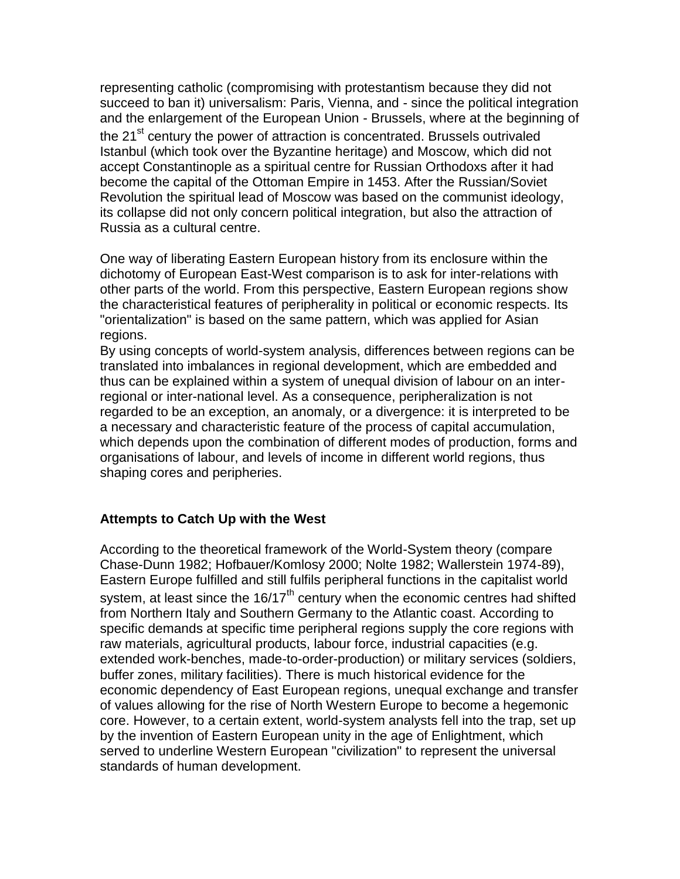representing catholic (compromising with protestantism because they did not succeed to ban it) universalism: Paris, Vienna, and - since the political integration and the enlargement of the European Union - Brussels, where at the beginning of the 21<sup>st</sup> century the power of attraction is concentrated. Brussels outrivaled Istanbul (which took over the Byzantine heritage) and Moscow, which did not accept Constantinople as a spiritual centre for Russian Orthodoxs after it had become the capital of the Ottoman Empire in 1453. After the Russian/Soviet Revolution the spiritual lead of Moscow was based on the communist ideology, its collapse did not only concern political integration, but also the attraction of Russia as a cultural centre.

One way of liberating Eastern European history from its enclosure within the dichotomy of European East-West comparison is to ask for inter-relations with other parts of the world. From this perspective, Eastern European regions show the characteristical features of peripherality in political or economic respects. Its "orientalization" is based on the same pattern, which was applied for Asian regions.

By using concepts of world-system analysis, differences between regions can be translated into imbalances in regional development, which are embedded and thus can be explained within a system of unequal division of labour on an interregional or inter-national level. As a consequence, peripheralization is not regarded to be an exception, an anomaly, or a divergence: it is interpreted to be a necessary and characteristic feature of the process of capital accumulation, which depends upon the combination of different modes of production, forms and organisations of labour, and levels of income in different world regions, thus shaping cores and peripheries.

## **Attempts to Catch Up with the West**

According to the theoretical framework of the World-System theory (compare Chase-Dunn 1982; Hofbauer/Komlosy 2000; Nolte 1982; Wallerstein 1974-89), Eastern Europe fulfilled and still fulfils peripheral functions in the capitalist world system, at least since the  $16/17<sup>th</sup>$  century when the economic centres had shifted from Northern Italy and Southern Germany to the Atlantic coast. According to specific demands at specific time peripheral regions supply the core regions with raw materials, agricultural products, labour force, industrial capacities (e.g. extended work-benches, made-to-order-production) or military services (soldiers, buffer zones, military facilities). There is much historical evidence for the economic dependency of East European regions, unequal exchange and transfer of values allowing for the rise of North Western Europe to become a hegemonic core. However, to a certain extent, world-system analysts fell into the trap, set up by the invention of Eastern European unity in the age of Enlightment, which served to underline Western European "civilization" to represent the universal standards of human development.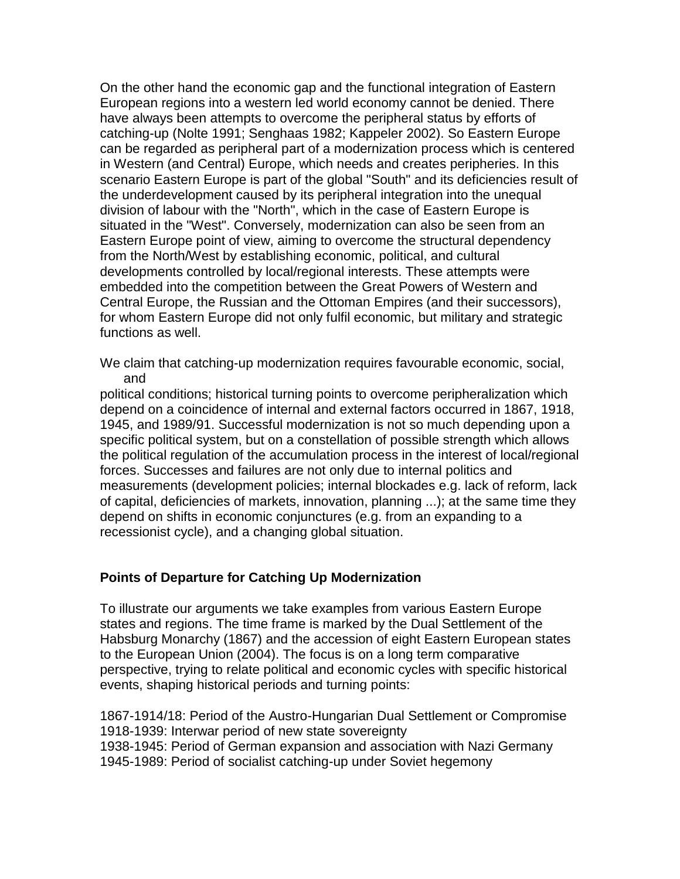On the other hand the economic gap and the functional integration of Eastern European regions into a western led world economy cannot be denied. There have always been attempts to overcome the peripheral status by efforts of catching-up (Nolte 1991; Senghaas 1982; Kappeler 2002). So Eastern Europe can be regarded as peripheral part of a modernization process which is centered in Western (and Central) Europe, which needs and creates peripheries. In this scenario Eastern Europe is part of the global "South" and its deficiencies result of the underdevelopment caused by its peripheral integration into the unequal division of labour with the "North", which in the case of Eastern Europe is situated in the "West". Conversely, modernization can also be seen from an Eastern Europe point of view, aiming to overcome the structural dependency from the North/West by establishing economic, political, and cultural developments controlled by local/regional interests. These attempts were embedded into the competition between the Great Powers of Western and Central Europe, the Russian and the Ottoman Empires (and their successors), for whom Eastern Europe did not only fulfil economic, but military and strategic functions as well.

We claim that catching-up modernization requires favourable economic, social, and

political conditions; historical turning points to overcome peripheralization which depend on a coincidence of internal and external factors occurred in 1867, 1918, 1945, and 1989/91. Successful modernization is not so much depending upon a specific political system, but on a constellation of possible strength which allows the political regulation of the accumulation process in the interest of local/regional forces. Successes and failures are not only due to internal politics and measurements (development policies; internal blockades e.g. lack of reform, lack of capital, deficiencies of markets, innovation, planning ...); at the same time they depend on shifts in economic conjunctures (e.g. from an expanding to a recessionist cycle), and a changing global situation.

#### **Points of Departure for Catching Up Modernization**

To illustrate our arguments we take examples from various Eastern Europe states and regions. The time frame is marked by the Dual Settlement of the Habsburg Monarchy (1867) and the accession of eight Eastern European states to the European Union (2004). The focus is on a long term comparative perspective, trying to relate political and economic cycles with specific historical events, shaping historical periods and turning points:

1867-1914/18: Period of the Austro-Hungarian Dual Settlement or Compromise 1918-1939: Interwar period of new state sovereignty 1938-1945: Period of German expansion and association with Nazi Germany 1945-1989: Period of socialist catching-up under Soviet hegemony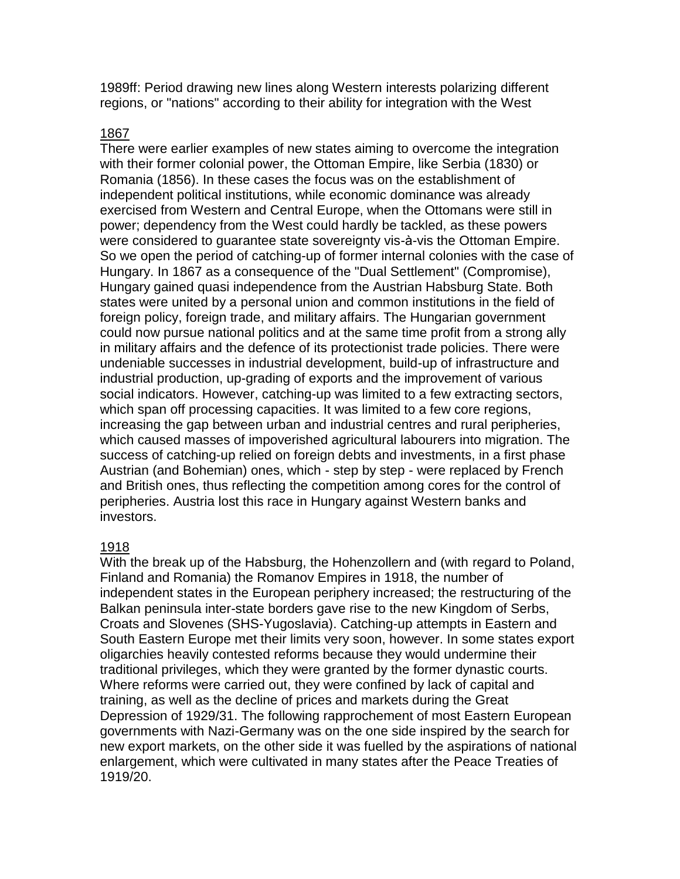1989ff: Period drawing new lines along Western interests polarizing different regions, or "nations" according to their ability for integration with the West

#### 1867

There were earlier examples of new states aiming to overcome the integration with their former colonial power, the Ottoman Empire, like Serbia (1830) or Romania (1856). In these cases the focus was on the establishment of independent political institutions, while economic dominance was already exercised from Western and Central Europe, when the Ottomans were still in power; dependency from the West could hardly be tackled, as these powers were considered to guarantee state sovereignty vis-à-vis the Ottoman Empire. So we open the period of catching-up of former internal colonies with the case of Hungary. In 1867 as a consequence of the "Dual Settlement" (Compromise), Hungary gained quasi independence from the Austrian Habsburg State. Both states were united by a personal union and common institutions in the field of foreign policy, foreign trade, and military affairs. The Hungarian government could now pursue national politics and at the same time profit from a strong ally in military affairs and the defence of its protectionist trade policies. There were undeniable successes in industrial development, build-up of infrastructure and industrial production, up-grading of exports and the improvement of various social indicators. However, catching-up was limited to a few extracting sectors, which span off processing capacities. It was limited to a few core regions, increasing the gap between urban and industrial centres and rural peripheries, which caused masses of impoverished agricultural labourers into migration. The success of catching-up relied on foreign debts and investments, in a first phase Austrian (and Bohemian) ones, which - step by step - were replaced by French and British ones, thus reflecting the competition among cores for the control of peripheries. Austria lost this race in Hungary against Western banks and investors.

## 1918

With the break up of the Habsburg, the Hohenzollern and (with regard to Poland, Finland and Romania) the Romanov Empires in 1918, the number of independent states in the European periphery increased; the restructuring of the Balkan peninsula inter-state borders gave rise to the new Kingdom of Serbs, Croats and Slovenes (SHS-Yugoslavia). Catching-up attempts in Eastern and South Eastern Europe met their limits very soon, however. In some states export oligarchies heavily contested reforms because they would undermine their traditional privileges, which they were granted by the former dynastic courts. Where reforms were carried out, they were confined by lack of capital and training, as well as the decline of prices and markets during the Great Depression of 1929/31. The following rapprochement of most Eastern European governments with Nazi-Germany was on the one side inspired by the search for new export markets, on the other side it was fuelled by the aspirations of national enlargement, which were cultivated in many states after the Peace Treaties of 1919/20.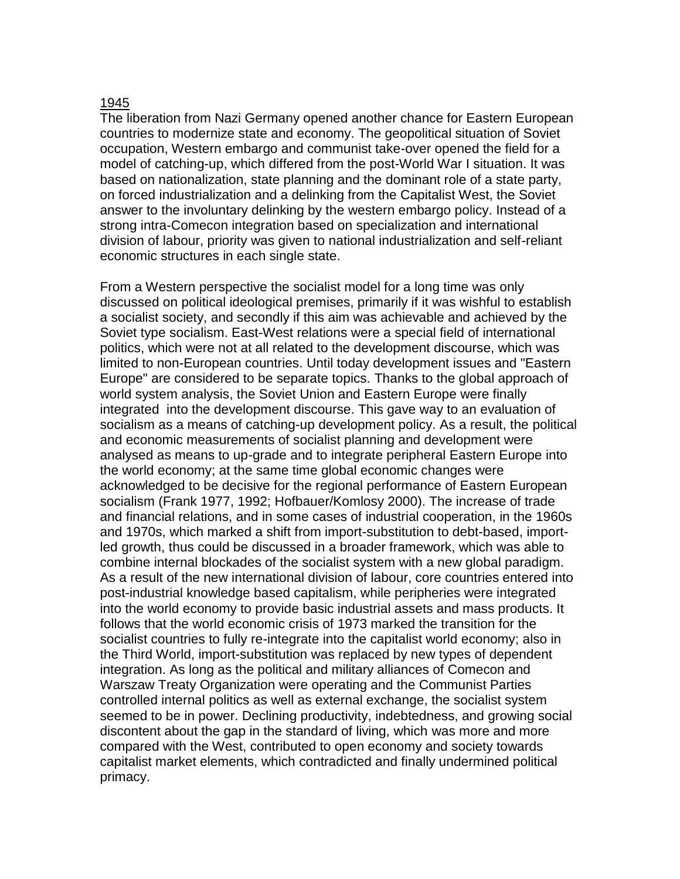#### 1945

The liberation from Nazi Germany opened another chance for Eastern European countries to modernize state and economy. The geopolitical situation of Soviet occupation, Western embargo and communist take-over opened the field for a model of catching-up, which differed from the post-World War I situation. It was based on nationalization, state planning and the dominant role of a state party, on forced industrialization and a delinking from the Capitalist West, the Soviet answer to the involuntary delinking by the western embargo policy. Instead of a strong intra-Comecon integration based on specialization and international division of labour, priority was given to national industrialization and self-reliant economic structures in each single state.

From a Western perspective the socialist model for a long time was only discussed on political ideological premises, primarily if it was wishful to establish a socialist society, and secondly if this aim was achievable and achieved by the Soviet type socialism. East-West relations were a special field of international politics, which were not at all related to the development discourse, which was limited to non-European countries. Until today development issues and "Eastern Europe" are considered to be separate topics. Thanks to the global approach of world system analysis, the Soviet Union and Eastern Europe were finally integrated into the development discourse. This gave way to an evaluation of socialism as a means of catching-up development policy. As a result, the political and economic measurements of socialist planning and development were analysed as means to up-grade and to integrate peripheral Eastern Europe into the world economy; at the same time global economic changes were acknowledged to be decisive for the regional performance of Eastern European socialism (Frank 1977, 1992; Hofbauer/Komlosy 2000). The increase of trade and financial relations, and in some cases of industrial cooperation, in the 1960s and 1970s, which marked a shift from import-substitution to debt-based, importled growth, thus could be discussed in a broader framework, which was able to combine internal blockades of the socialist system with a new global paradigm. As a result of the new international division of labour, core countries entered into post-industrial knowledge based capitalism, while peripheries were integrated into the world economy to provide basic industrial assets and mass products. It follows that the world economic crisis of 1973 marked the transition for the socialist countries to fully re-integrate into the capitalist world economy; also in the Third World, import-substitution was replaced by new types of dependent integration. As long as the political and military alliances of Comecon and Warszaw Treaty Organization were operating and the Communist Parties controlled internal politics as well as external exchange, the socialist system seemed to be in power. Declining productivity, indebtedness, and growing social discontent about the gap in the standard of living, which was more and more compared with the West, contributed to open economy and society towards capitalist market elements, which contradicted and finally undermined political primacy.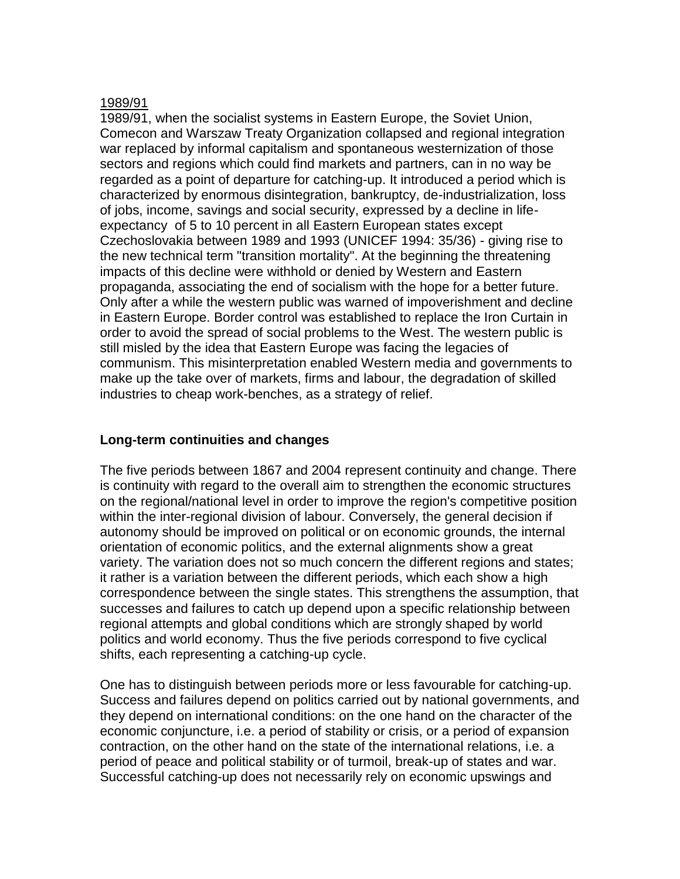#### 1989/91

1989/91, when the socialist systems in Eastern Europe, the Soviet Union, Comecon and Warszaw Treaty Organization collapsed and regional integration war replaced by informal capitalism and spontaneous westernization of those sectors and regions which could find markets and partners, can in no way be regarded as a point of departure for catching-up. It introduced a period which is characterized by enormous disintegration, bankruptcy, de-industrialization, loss of jobs, income, savings and social security, expressed by a decline in lifeexpectancy of 5 to 10 percent in all Eastern European states except Czechoslovakia between 1989 and 1993 (UNICEF 1994: 35/36) - giving rise to the new technical term "transition mortality". At the beginning the threatening impacts of this decline were withhold or denied by Western and Eastern propaganda, associating the end of socialism with the hope for a better future. Only after a while the western public was warned of impoverishment and decline in Eastern Europe. Border control was established to replace the Iron Curtain in order to avoid the spread of social problems to the West. The western public is still misled by the idea that Eastern Europe was facing the legacies of communism. This misinterpretation enabled Western media and governments to make up the take over of markets, firms and labour, the degradation of skilled industries to cheap work-benches, as a strategy of relief.

## **Long-term continuities and changes**

The five periods between 1867 and 2004 represent continuity and change. There is continuity with regard to the overall aim to strengthen the economic structures on the regional/national level in order to improve the region's competitive position within the inter-regional division of labour. Conversely, the general decision if autonomy should be improved on political or on economic grounds, the internal orientation of economic politics, and the external alignments show a great variety. The variation does not so much concern the different regions and states; it rather is a variation between the different periods, which each show a high correspondence between the single states. This strengthens the assumption, that successes and failures to catch up depend upon a specific relationship between regional attempts and global conditions which are strongly shaped by world politics and world economy. Thus the five periods correspond to five cyclical shifts, each representing a catching-up cycle.

One has to distinguish between periods more or less favourable for catching-up. Success and failures depend on politics carried out by national governments, and they depend on international conditions: on the one hand on the character of the economic conjuncture, i.e. a period of stability or crisis, or a period of expansion contraction, on the other hand on the state of the international relations, i.e. a period of peace and political stability or of turmoil, break-up of states and war. Successful catching-up does not necessarily rely on economic upswings and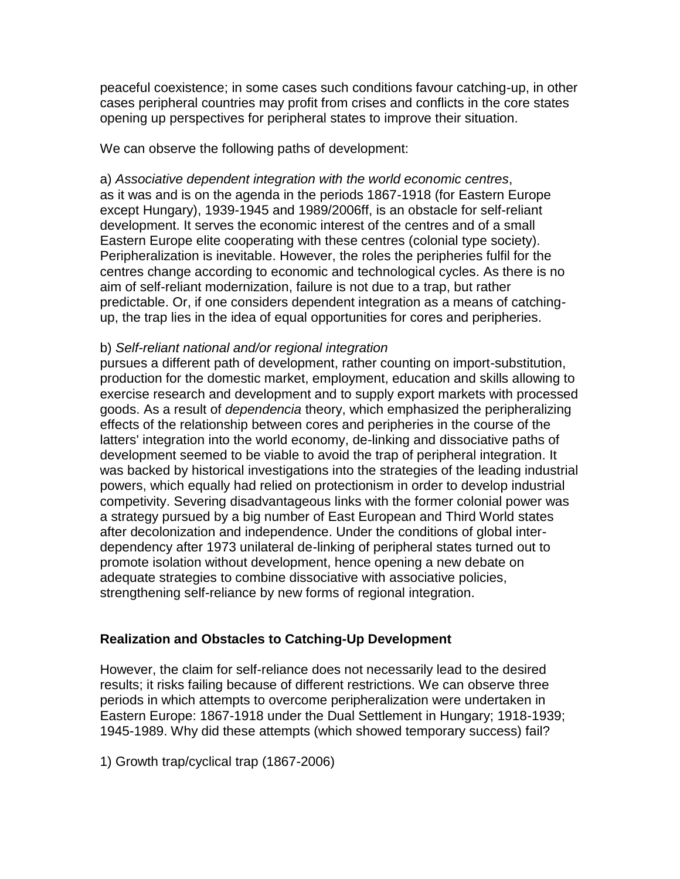peaceful coexistence; in some cases such conditions favour catching-up, in other cases peripheral countries may profit from crises and conflicts in the core states opening up perspectives for peripheral states to improve their situation.

We can observe the following paths of development:

a) *Associative dependent integration with the world economic centres*, as it was and is on the agenda in the periods 1867-1918 (for Eastern Europe except Hungary), 1939-1945 and 1989/2006ff, is an obstacle for self-reliant development. It serves the economic interest of the centres and of a small Eastern Europe elite cooperating with these centres (colonial type society). Peripheralization is inevitable. However, the roles the peripheries fulfil for the centres change according to economic and technological cycles. As there is no aim of self-reliant modernization, failure is not due to a trap, but rather predictable. Or, if one considers dependent integration as a means of catchingup, the trap lies in the idea of equal opportunities for cores and peripheries.

## b) *Self-reliant national and/or regional integration*

pursues a different path of development, rather counting on import-substitution, production for the domestic market, employment, education and skills allowing to exercise research and development and to supply export markets with processed goods. As a result of *dependencia* theory, which emphasized the peripheralizing effects of the relationship between cores and peripheries in the course of the latters' integration into the world economy, de-linking and dissociative paths of development seemed to be viable to avoid the trap of peripheral integration. It was backed by historical investigations into the strategies of the leading industrial powers, which equally had relied on protectionism in order to develop industrial competivity. Severing disadvantageous links with the former colonial power was a strategy pursued by a big number of East European and Third World states after decolonization and independence. Under the conditions of global interdependency after 1973 unilateral de-linking of peripheral states turned out to promote isolation without development, hence opening a new debate on adequate strategies to combine dissociative with associative policies, strengthening self-reliance by new forms of regional integration.

## **Realization and Obstacles to Catching-Up Development**

However, the claim for self-reliance does not necessarily lead to the desired results; it risks failing because of different restrictions. We can observe three periods in which attempts to overcome peripheralization were undertaken in Eastern Europe: 1867-1918 under the Dual Settlement in Hungary; 1918-1939; 1945-1989. Why did these attempts (which showed temporary success) fail?

1) Growth trap/cyclical trap (1867-2006)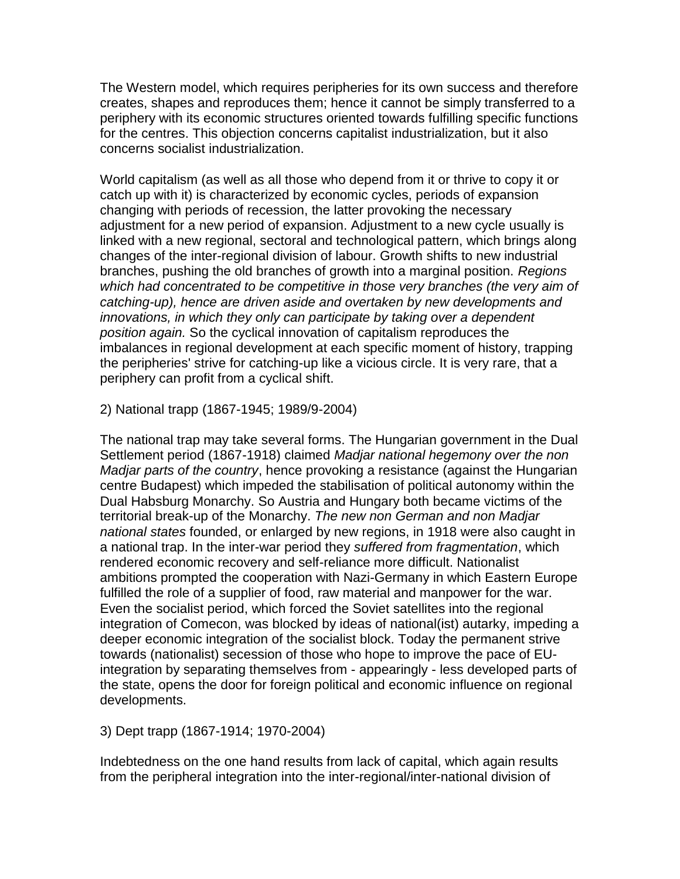The Western model, which requires peripheries for its own success and therefore creates, shapes and reproduces them; hence it cannot be simply transferred to a periphery with its economic structures oriented towards fulfilling specific functions for the centres. This objection concerns capitalist industrialization, but it also concerns socialist industrialization.

World capitalism (as well as all those who depend from it or thrive to copy it or catch up with it) is characterized by economic cycles, periods of expansion changing with periods of recession, the latter provoking the necessary adjustment for a new period of expansion. Adjustment to a new cycle usually is linked with a new regional, sectoral and technological pattern, which brings along changes of the inter-regional division of labour. Growth shifts to new industrial branches, pushing the old branches of growth into a marginal position. *Regions which had concentrated to be competitive in those very branches (the very aim of catching-up), hence are driven aside and overtaken by new developments and innovations, in which they only can participate by taking over a dependent position again.* So the cyclical innovation of capitalism reproduces the imbalances in regional development at each specific moment of history, trapping the peripheries' strive for catching-up like a vicious circle. It is very rare, that a periphery can profit from a cyclical shift.

2) National trapp (1867-1945; 1989/9-2004)

The national trap may take several forms. The Hungarian government in the Dual Settlement period (1867-1918) claimed *Madjar national hegemony over the non Madjar parts of the country*, hence provoking a resistance (against the Hungarian centre Budapest) which impeded the stabilisation of political autonomy within the Dual Habsburg Monarchy. So Austria and Hungary both became victims of the territorial break-up of the Monarchy. *The new non German and non Madjar national states* founded, or enlarged by new regions, in 1918 were also caught in a national trap. In the inter-war period they *suffered from fragmentation*, which rendered economic recovery and self-reliance more difficult. Nationalist ambitions prompted the cooperation with Nazi-Germany in which Eastern Europe fulfilled the role of a supplier of food, raw material and manpower for the war. Even the socialist period, which forced the Soviet satellites into the regional integration of Comecon, was blocked by ideas of national(ist) autarky, impeding a deeper economic integration of the socialist block. Today the permanent strive towards (nationalist) secession of those who hope to improve the pace of EUintegration by separating themselves from - appearingly - less developed parts of the state, opens the door for foreign political and economic influence on regional developments.

3) Dept trapp (1867-1914; 1970-2004)

Indebtedness on the one hand results from lack of capital, which again results from the peripheral integration into the inter-regional/inter-national division of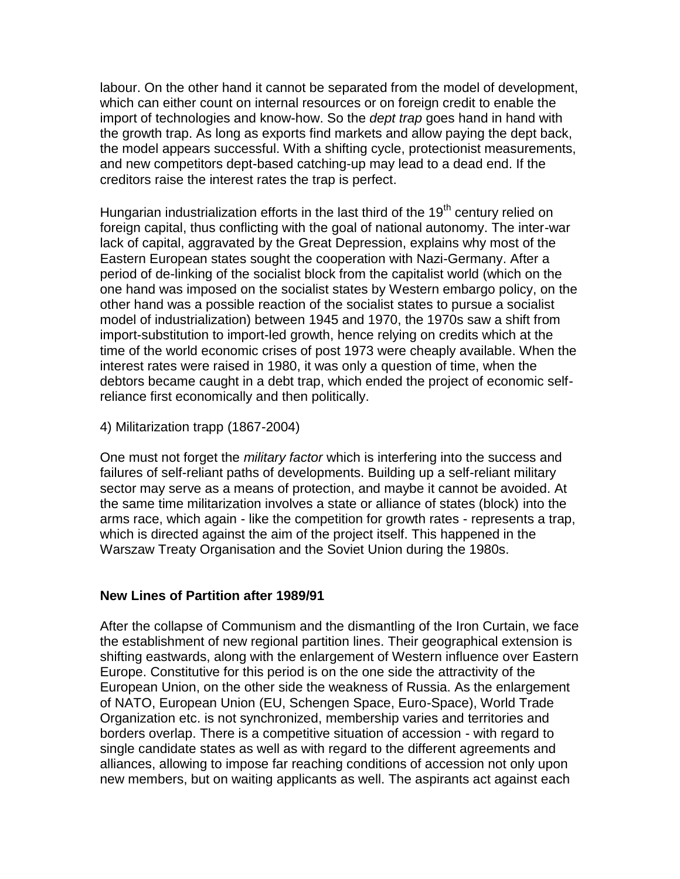labour. On the other hand it cannot be separated from the model of development, which can either count on internal resources or on foreign credit to enable the import of technologies and know-how. So the *dept trap* goes hand in hand with the growth trap. As long as exports find markets and allow paying the dept back, the model appears successful. With a shifting cycle, protectionist measurements, and new competitors dept-based catching-up may lead to a dead end. If the creditors raise the interest rates the trap is perfect.

Hungarian industrialization efforts in the last third of the  $19<sup>th</sup>$  century relied on foreign capital, thus conflicting with the goal of national autonomy. The inter-war lack of capital, aggravated by the Great Depression, explains why most of the Eastern European states sought the cooperation with Nazi-Germany. After a period of de-linking of the socialist block from the capitalist world (which on the one hand was imposed on the socialist states by Western embargo policy, on the other hand was a possible reaction of the socialist states to pursue a socialist model of industrialization) between 1945 and 1970, the 1970s saw a shift from import-substitution to import-led growth, hence relying on credits which at the time of the world economic crises of post 1973 were cheaply available. When the interest rates were raised in 1980, it was only a question of time, when the debtors became caught in a debt trap, which ended the project of economic selfreliance first economically and then politically.

4) Militarization trapp (1867-2004)

One must not forget the *military factor* which is interfering into the success and failures of self-reliant paths of developments. Building up a self-reliant military sector may serve as a means of protection, and maybe it cannot be avoided. At the same time militarization involves a state or alliance of states (block) into the arms race, which again - like the competition for growth rates - represents a trap, which is directed against the aim of the project itself. This happened in the Warszaw Treaty Organisation and the Soviet Union during the 1980s.

## **New Lines of Partition after 1989/91**

After the collapse of Communism and the dismantling of the Iron Curtain, we face the establishment of new regional partition lines. Their geographical extension is shifting eastwards, along with the enlargement of Western influence over Eastern Europe. Constitutive for this period is on the one side the attractivity of the European Union, on the other side the weakness of Russia. As the enlargement of NATO, European Union (EU, Schengen Space, Euro-Space), World Trade Organization etc. is not synchronized, membership varies and territories and borders overlap. There is a competitive situation of accession - with regard to single candidate states as well as with regard to the different agreements and alliances, allowing to impose far reaching conditions of accession not only upon new members, but on waiting applicants as well. The aspirants act against each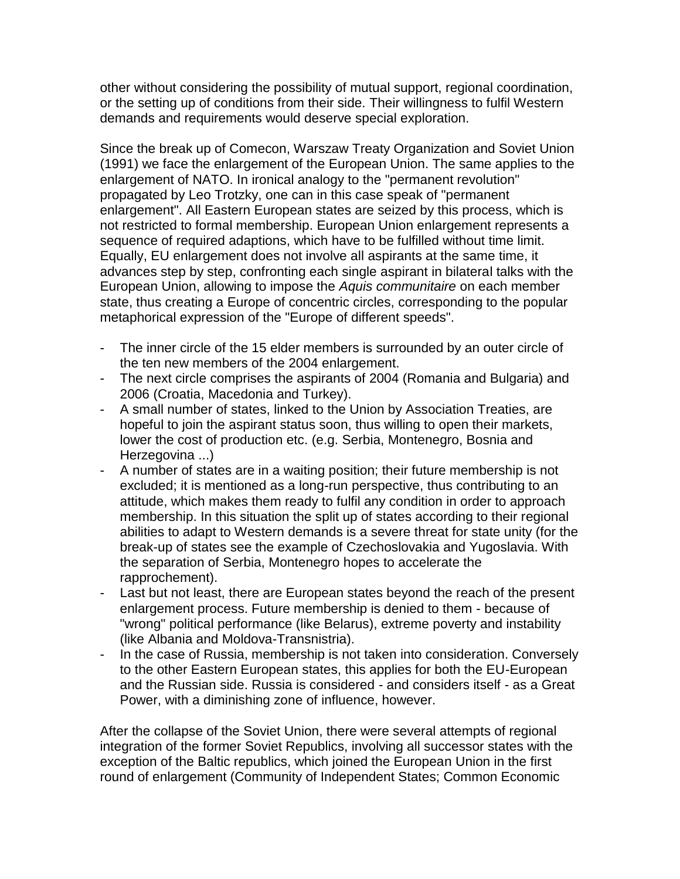other without considering the possibility of mutual support, regional coordination, or the setting up of conditions from their side. Their willingness to fulfil Western demands and requirements would deserve special exploration.

Since the break up of Comecon, Warszaw Treaty Organization and Soviet Union (1991) we face the enlargement of the European Union. The same applies to the enlargement of NATO. In ironical analogy to the "permanent revolution" propagated by Leo Trotzky, one can in this case speak of "permanent enlargement". All Eastern European states are seized by this process, which is not restricted to formal membership. European Union enlargement represents a sequence of required adaptions, which have to be fulfilled without time limit. Equally, EU enlargement does not involve all aspirants at the same time, it advances step by step, confronting each single aspirant in bilateral talks with the European Union, allowing to impose the *Aquis communitaire* on each member state, thus creating a Europe of concentric circles, corresponding to the popular metaphorical expression of the "Europe of different speeds".

- The inner circle of the 15 elder members is surrounded by an outer circle of the ten new members of the 2004 enlargement.
- The next circle comprises the aspirants of 2004 (Romania and Bulgaria) and 2006 (Croatia, Macedonia and Turkey).
- A small number of states, linked to the Union by Association Treaties, are hopeful to join the aspirant status soon, thus willing to open their markets, lower the cost of production etc. (e.g. Serbia, Montenegro, Bosnia and Herzegovina ...)
- A number of states are in a waiting position; their future membership is not excluded; it is mentioned as a long-run perspective, thus contributing to an attitude, which makes them ready to fulfil any condition in order to approach membership. In this situation the split up of states according to their regional abilities to adapt to Western demands is a severe threat for state unity (for the break-up of states see the example of Czechoslovakia and Yugoslavia. With the separation of Serbia, Montenegro hopes to accelerate the rapprochement).
- Last but not least, there are European states beyond the reach of the present enlargement process. Future membership is denied to them - because of "wrong" political performance (like Belarus), extreme poverty and instability (like Albania and Moldova-Transnistria).
- In the case of Russia, membership is not taken into consideration. Conversely to the other Eastern European states, this applies for both the EU-European and the Russian side. Russia is considered - and considers itself - as a Great Power, with a diminishing zone of influence, however.

After the collapse of the Soviet Union, there were several attempts of regional integration of the former Soviet Republics, involving all successor states with the exception of the Baltic republics, which joined the European Union in the first round of enlargement (Community of Independent States; Common Economic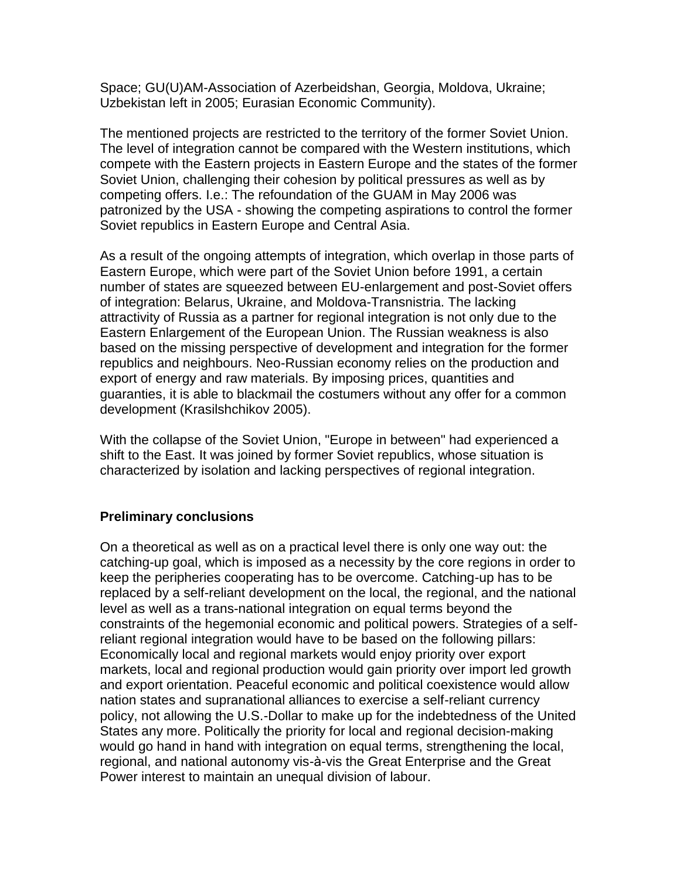Space; GU(U)AM-Association of Azerbeidshan, Georgia, Moldova, Ukraine; Uzbekistan left in 2005; Eurasian Economic Community).

The mentioned projects are restricted to the territory of the former Soviet Union. The level of integration cannot be compared with the Western institutions, which compete with the Eastern projects in Eastern Europe and the states of the former Soviet Union, challenging their cohesion by political pressures as well as by competing offers. I.e.: The refoundation of the GUAM in May 2006 was patronized by the USA - showing the competing aspirations to control the former Soviet republics in Eastern Europe and Central Asia.

As a result of the ongoing attempts of integration, which overlap in those parts of Eastern Europe, which were part of the Soviet Union before 1991, a certain number of states are squeezed between EU-enlargement and post-Soviet offers of integration: Belarus, Ukraine, and Moldova-Transnistria. The lacking attractivity of Russia as a partner for regional integration is not only due to the Eastern Enlargement of the European Union. The Russian weakness is also based on the missing perspective of development and integration for the former republics and neighbours. Neo-Russian economy relies on the production and export of energy and raw materials. By imposing prices, quantities and guaranties, it is able to blackmail the costumers without any offer for a common development (Krasilshchikov 2005).

With the collapse of the Soviet Union, "Europe in between" had experienced a shift to the East. It was joined by former Soviet republics, whose situation is characterized by isolation and lacking perspectives of regional integration.

## **Preliminary conclusions**

On a theoretical as well as on a practical level there is only one way out: the catching-up goal, which is imposed as a necessity by the core regions in order to keep the peripheries cooperating has to be overcome. Catching-up has to be replaced by a self-reliant development on the local, the regional, and the national level as well as a trans-national integration on equal terms beyond the constraints of the hegemonial economic and political powers. Strategies of a selfreliant regional integration would have to be based on the following pillars: Economically local and regional markets would enjoy priority over export markets, local and regional production would gain priority over import led growth and export orientation. Peaceful economic and political coexistence would allow nation states and supranational alliances to exercise a self-reliant currency policy, not allowing the U.S.-Dollar to make up for the indebtedness of the United States any more. Politically the priority for local and regional decision-making would go hand in hand with integration on equal terms, strengthening the local, regional, and national autonomy vis-à-vis the Great Enterprise and the Great Power interest to maintain an unequal division of labour.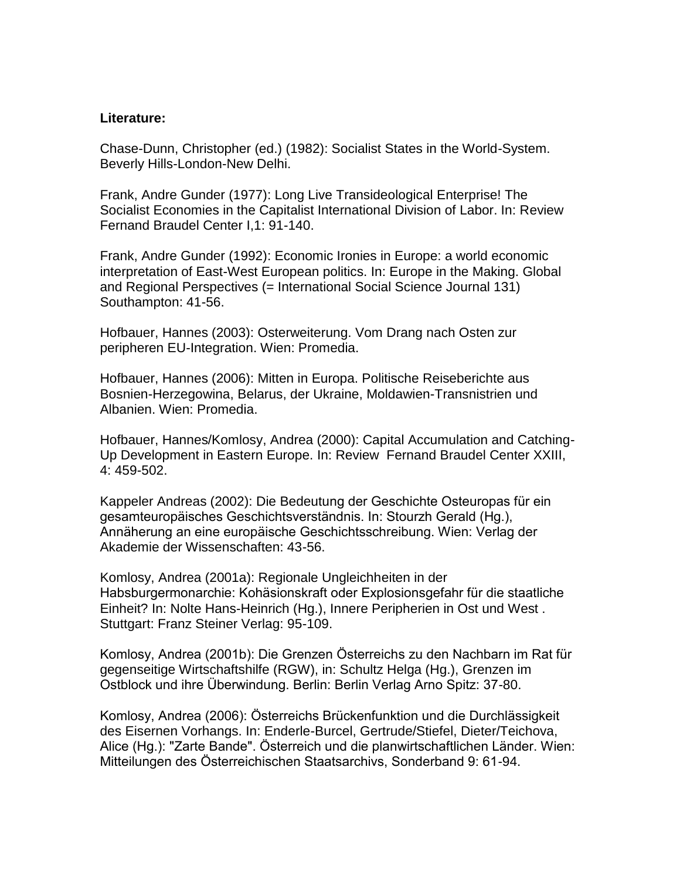#### **Literature:**

Chase-Dunn, Christopher (ed.) (1982): Socialist States in the World-System. Beverly Hills-London-New Delhi.

Frank, Andre Gunder (1977): Long Live Transideological Enterprise! The Socialist Economies in the Capitalist International Division of Labor. In: Review Fernand Braudel Center I,1: 91-140.

Frank, Andre Gunder (1992): Economic Ironies in Europe: a world economic interpretation of East-West European politics. In: Europe in the Making. Global and Regional Perspectives (= International Social Science Journal 131) Southampton: 41-56.

Hofbauer, Hannes (2003): Osterweiterung. Vom Drang nach Osten zur peripheren EU-Integration. Wien: Promedia.

Hofbauer, Hannes (2006): Mitten in Europa. Politische Reiseberichte aus Bosnien-Herzegowina, Belarus, der Ukraine, Moldawien-Transnistrien und Albanien. Wien: Promedia.

Hofbauer, Hannes/Komlosy, Andrea (2000): Capital Accumulation and Catching-Up Development in Eastern Europe. In: Review Fernand Braudel Center XXIII, 4: 459-502.

Kappeler Andreas (2002): Die Bedeutung der Geschichte Osteuropas für ein gesamteuropäisches Geschichtsverständnis. In: Stourzh Gerald (Hg.), Annäherung an eine europäische Geschichtsschreibung. Wien: Verlag der Akademie der Wissenschaften: 43-56.

Komlosy, Andrea (2001a): Regionale Ungleichheiten in der Habsburgermonarchie: Kohäsionskraft oder Explosionsgefahr für die staatliche Einheit? In: Nolte Hans-Heinrich (Hg.), Innere Peripherien in Ost und West . Stuttgart: Franz Steiner Verlag: 95-109.

Komlosy, Andrea (2001b): Die Grenzen Österreichs zu den Nachbarn im Rat für gegenseitige Wirtschaftshilfe (RGW), in: Schultz Helga (Hg.), Grenzen im Ostblock und ihre Überwindung. Berlin: Berlin Verlag Arno Spitz: 37-80.

Komlosy, Andrea (2006): Österreichs Brückenfunktion und die Durchlässigkeit des Eisernen Vorhangs. In: Enderle-Burcel, Gertrude/Stiefel, Dieter/Teichova, Alice (Hg.): "Zarte Bande". Österreich und die planwirtschaftlichen Länder. Wien: Mitteilungen des Österreichischen Staatsarchivs, Sonderband 9: 61-94.